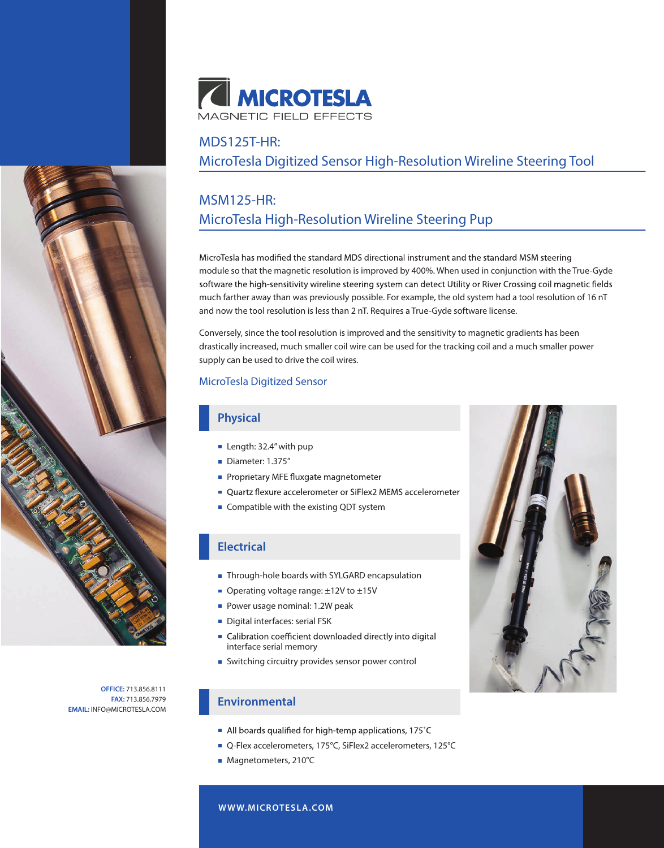

### MDS125T-HR:

MicroTesla Digitized Sensor High-Resolution Wireline Steering Tool

# MSM125-HR: MicroTesla High-Resolution Wireline Steering Pup

MicroTesla has modified the standard MDS directional instrument and the standard MSM steering module so that the magnetic resolution is improved by 400%. When used in conjunction with the True-Gyde software the high-sensitivity wireline steering system can detect Utility or River Crossing coil magnetic fields much farther away than was previously possible. For example, the old system had a tool resolution of 16 nT and now the tool resolution is less than 2 nT. Requires a True-Gyde software license.

Conversely, since the tool resolution is improved and the sensitivity to magnetic gradients has been drastically increased, much smaller coil wire can be used for the tracking coil and a much smaller power supply can be used to drive the coil wires.

#### MicroTesla Digitized Sensor

#### **Physical**

- Length: 32.4" with pup
- Diameter: 1.375"
- Proprietary MFE fluxgate magnetometer
- Quartz flexure accelerometer or SiFlex2 MEMS accelerometer
- **Compatible with the existing QDT system**

### **Electrical**

- Through-hole boards with SYLGARD encapsulation
- Operating voltage range: ±12V to ±15V
- **Power usage nominal: 1.2W peak**
- Digital interfaces: serial FSK
- Calibration coefficient downloaded directly into digital interface serial memory
- Switching circuitry provides sensor power control

#### **Environmental**

- All boards qualified for high-temp applications, 175°C
- Q-Flex accelerometers, 175°C, SiFlex2 accelerometers, 125°C
- Magnetometers, 210°C





**FAX:** 713.856.7979 **EMAIL:** INFO@MICROTESLA.COM

**W WW.MICROTESLA.COM**